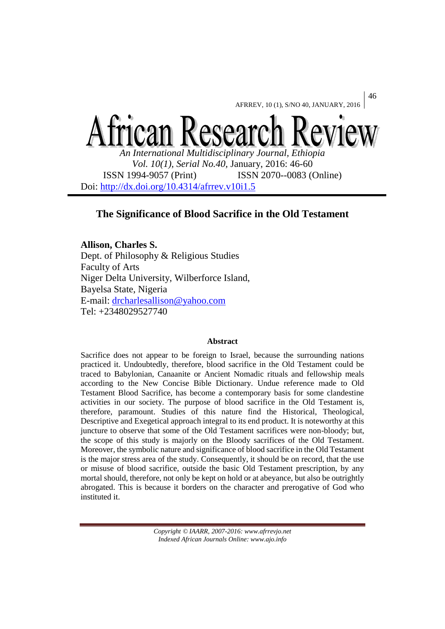

# **The Significance of Blood Sacrifice in the Old Testament**

**Allison, Charles S.**  Dept. of Philosophy & Religious Studies Faculty of Arts Niger Delta University, Wilberforce Island, Bayelsa State, Nigeria E-mail: [drcharlesallison@yahoo.com](mailto:drcharlesallison@yahoo.com) Tel: +2348029527740

### **Abstract**

Sacrifice does not appear to be foreign to Israel, because the surrounding nations practiced it. Undoubtedly, therefore, blood sacrifice in the Old Testament could be traced to Babylonian, Canaanite or Ancient Nomadic rituals and fellowship meals according to the New Concise Bible Dictionary. Undue reference made to Old Testament Blood Sacrifice, has become a contemporary basis for some clandestine activities in our society. The purpose of blood sacrifice in the Old Testament is, therefore, paramount. Studies of this nature find the Historical, Theological, Descriptive and Exegetical approach integral to its end product. It is noteworthy at this juncture to observe that some of the Old Testament sacrifices were non-bloody; but, the scope of this study is majorly on the Bloody sacrifices of the Old Testament. Moreover, the symbolic nature and significance of blood sacrifice in the Old Testament is the major stress area of the study. Consequently, it should be on record, that the use or misuse of blood sacrifice, outside the basic Old Testament prescription, by any mortal should, therefore, not only be kept on hold or at abeyance, but also be outrightly abrogated. This is because it borders on the character and prerogative of God who instituted it.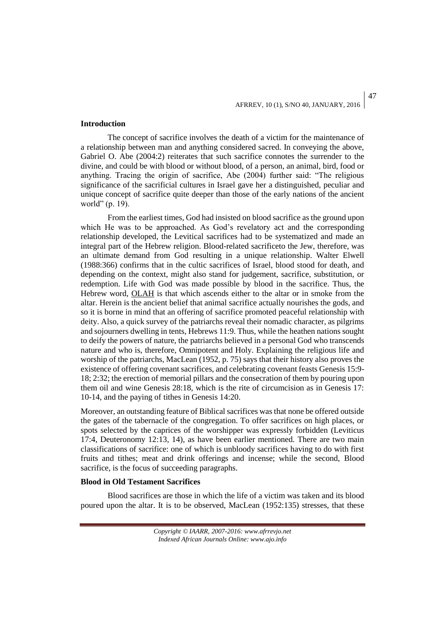### **Introduction**

The concept of sacrifice involves the death of a victim for the maintenance of a relationship between man and anything considered sacred. In conveying the above, Gabriel O. Abe (2004:2) reiterates that such sacrifice connotes the surrender to the divine, and could be with blood or without blood, of a person, an animal, bird, food or anything. Tracing the origin of sacrifice, Abe (2004) further said: "The religious significance of the sacrificial cultures in Israel gave her a distinguished, peculiar and unique concept of sacrifice quite deeper than those of the early nations of the ancient world" (p. 19).

From the earliest times, God had insisted on blood sacrifice as the ground upon which He was to be approached. As God's revelatory act and the corresponding relationship developed, the Levitical sacrifices had to be systematized and made an integral part of the Hebrew religion. Blood-related sacrificeto the Jew, therefore, was an ultimate demand from God resulting in a unique relationship. Walter Elwell (1988:366) confirms that in the cultic sacrifices of Israel, blood stood for death, and depending on the context, might also stand for judgement, sacrifice, substitution, or redemption. Life with God was made possible by blood in the sacrifice. Thus, the Hebrew word, OLAH is that which ascends either to the altar or in smoke from the altar. Herein is the ancient belief that animal sacrifice actually nourishes the gods, and so it is borne in mind that an offering of sacrifice promoted peaceful relationship with deity. Also, a quick survey of the patriarchs reveal their nomadic character, as pilgrims and sojourners dwelling in tents, Hebrews 11:9. Thus, while the heathen nations sought to deify the powers of nature, the patriarchs believed in a personal God who transcends nature and who is, therefore, Omnipotent and Holy. Explaining the religious life and worship of the patriarchs, MacLean (1952, p. 75) says that their history also proves the existence of offering covenant sacrifices, and celebrating covenant feasts Genesis 15:9- 18; 2:32; the erection of memorial pillars and the consecration of them by pouring upon them oil and wine Genesis 28:18, which is the rite of circumcision as in Genesis 17: 10-14, and the paying of tithes in Genesis 14:20.

Moreover, an outstanding feature of Biblical sacrifices was that none be offered outside the gates of the tabernacle of the congregation. To offer sacrifices on high places, or spots selected by the caprices of the worshipper was expressly forbidden (Leviticus 17:4, Deuteronomy 12:13, 14), as have been earlier mentioned. There are two main classifications of sacrifice: one of which is unbloody sacrifices having to do with first fruits and tithes; meat and drink offerings and incense; while the second, Blood sacrifice, is the focus of succeeding paragraphs.

### **Blood in Old Testament Sacrifices**

Blood sacrifices are those in which the life of a victim was taken and its blood poured upon the altar. It is to be observed, MacLean (1952:135) stresses, that these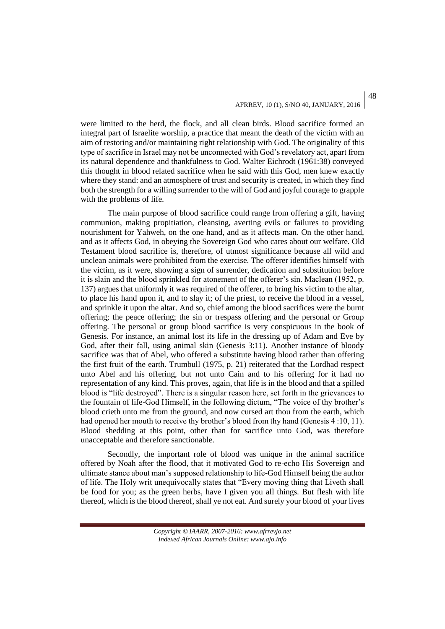were limited to the herd, the flock, and all clean birds. Blood sacrifice formed an integral part of Israelite worship, a practice that meant the death of the victim with an aim of restoring and/or maintaining right relationship with God. The originality of this type of sacrifice in Israel may not be unconnected with God's revelatory act, apart from its natural dependence and thankfulness to God. Walter Eichrodt (1961:38) conveyed this thought in blood related sacrifice when he said with this God, men knew exactly where they stand: and an atmosphere of trust and security is created, in which they find both the strength for a willing surrender to the will of God and joyful courage to grapple with the problems of life.

The main purpose of blood sacrifice could range from offering a gift, having communion, making propitiation, cleansing, averting evils or failures to providing nourishment for Yahweh, on the one hand, and as it affects man. On the other hand, and as it affects God, in obeying the Sovereign God who cares about our welfare. Old Testament blood sacrifice is, therefore, of utmost significance because all wild and unclean animals were prohibited from the exercise. The offerer identifies himself with the victim, as it were, showing a sign of surrender, dedication and substitution before it is slain and the blood sprinkled for atonement of the offerer's sin. Maclean (1952, p. 137) argues that uniformly it was required of the offerer, to bring his victim to the altar, to place his hand upon it, and to slay it; of the priest, to receive the blood in a vessel, and sprinkle it upon the altar. And so, chief among the blood sacrifices were the burnt offering; the peace offering; the sin or trespass offering and the personal or Group offering. The personal or group blood sacrifice is very conspicuous in the book of Genesis. For instance, an animal lost its life in the dressing up of Adam and Eve by God, after their fall, using animal skin (Genesis 3:11). Another instance of bloody sacrifice was that of Abel, who offered a substitute having blood rather than offering the first fruit of the earth. Trumbull (1975, p. 21) reiterated that the Lordhad respect unto Abel and his offering, but not unto Cain and to his offering for it had no representation of any kind. This proves, again, that life is in the blood and that a spilled blood is "life destroyed". There is a singular reason here, set forth in the grievances to the fountain of life-God Himself, in the following dictum, "The voice of thy brother's blood crieth unto me from the ground, and now cursed art thou from the earth, which had opened her mouth to receive thy brother's blood from thy hand (Genesis 4 :10, 11). Blood shedding at this point, other than for sacrifice unto God, was therefore unacceptable and therefore sanctionable.

Secondly, the important role of blood was unique in the animal sacrifice offered by Noah after the flood, that it motivated God to re-echo His Sovereign and ultimate stance about man's supposed relationship to life-God Himself being the author of life. The Holy writ unequivocally states that "Every moving thing that Liveth shall be food for you; as the green herbs, have I given you all things. But flesh with life thereof, which is the blood thereof, shall ye not eat. And surely your blood of your lives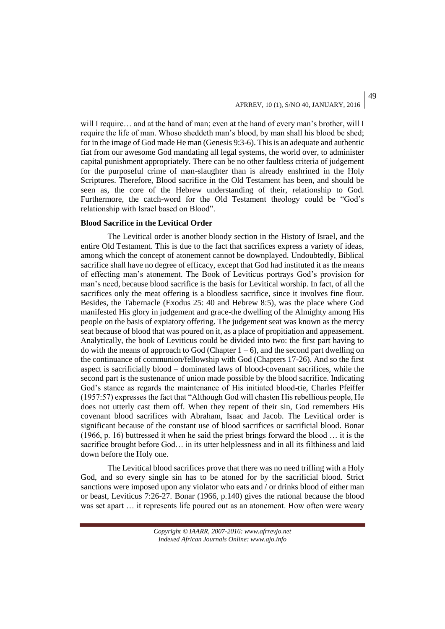will I require… and at the hand of man; even at the hand of every man's brother, will I require the life of man. Whoso sheddeth man's blood, by man shall his blood be shed; for in the image of God made He man (Genesis 9:3-6). This is an adequate and authentic fiat from our awesome God mandating all legal systems, the world over, to administer capital punishment appropriately. There can be no other faultless criteria of judgement for the purposeful crime of man-slaughter than is already enshrined in the Holy Scriptures. Therefore, Blood sacrifice in the Old Testament has been, and should be seen as, the core of the Hebrew understanding of their, relationship to God. Furthermore, the catch-word for the Old Testament theology could be "God's relationship with Israel based on Blood".

### **Blood Sacrifice in the Levitical Order**

The Levitical order is another bloody section in the History of Israel, and the entire Old Testament. This is due to the fact that sacrifices express a variety of ideas, among which the concept of atonement cannot be downplayed. Undoubtedly, Biblical sacrifice shall have no degree of efficacy, except that God had instituted it as the means of effecting man's atonement. The Book of Leviticus portrays God's provision for man's need, because blood sacrifice is the basis for Levitical worship. In fact, of all the sacrifices only the meat offering is a bloodless sacrifice, since it involves fine flour. Besides, the Tabernacle (Exodus 25: 40 and Hebrew 8:5), was the place where God manifested His glory in judgement and grace-the dwelling of the Almighty among His people on the basis of expiatory offering. The judgement seat was known as the mercy seat because of blood that was poured on it, as a place of propitiation and appeasement. Analytically, the book of Leviticus could be divided into two: the first part having to do with the means of approach to God (Chapter  $1 - 6$ ), and the second part dwelling on the continuance of communion/fellowship with God (Chapters 17-26). And so the first aspect is sacrificially blood – dominated laws of blood-covenant sacrifices, while the second part is the sustenance of union made possible by the blood sacrifice. Indicating God's stance as regards the maintenance of His initiated blood-tie, Charles Pfeiffer (1957:57) expresses the fact that "Although God will chasten His rebellious people, He does not utterly cast them off. When they repent of their sin, God remembers His covenant blood sacrifices with Abraham, Isaac and Jacob. The Levitical order is significant because of the constant use of blood sacrifices or sacrificial blood. Bonar (1966, p. 16) buttressed it when he said the priest brings forward the blood … it is the sacrifice brought before God… in its utter helplessness and in all its filthiness and laid down before the Holy one.

The Levitical blood sacrifices prove that there was no need trifling with a Holy God, and so every single sin has to be atoned for by the sacrificial blood. Strict sanctions were imposed upon any violator who eats and / or drinks blood of either man or beast, Leviticus 7:26-27. Bonar (1966, p.140) gives the rational because the blood was set apart … it represents life poured out as an atonement. How often were weary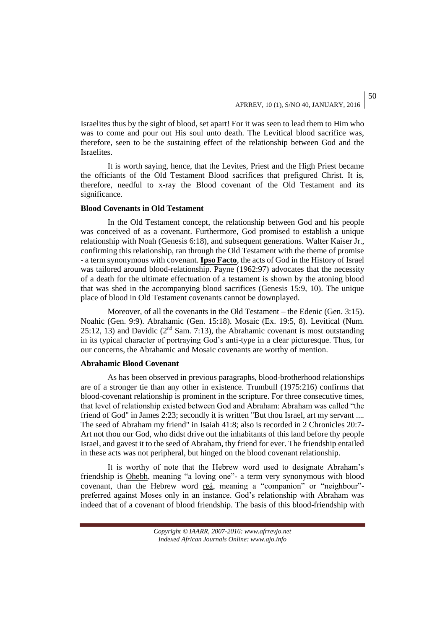Israelites thus by the sight of blood, set apart! For it was seen to lead them to Him who was to come and pour out His soul unto death. The Levitical blood sacrifice was, therefore, seen to be the sustaining effect of the relationship between God and the Israelites.

It is worth saying, hence, that the Levites, Priest and the High Priest became the officiants of the Old Testament Blood sacrifices that prefigured Christ. It is, therefore, needful to x-ray the Blood covenant of the Old Testament and its significance.

### **Blood Covenants in Old Testament**

In the Old Testament concept, the relationship between God and his people was conceived of as a covenant. Furthermore, God promised to establish a unique relationship with Noah (Genesis 6:18), and subsequent generations. Walter Kaiser Jr., confirming this relationship, ran through the Old Testament with the theme of promise - a term synonymous with covenant. **Ipso Facto**, the acts of God in the History of Israel was tailored around blood-relationship. Payne (1962:97) advocates that the necessity of a death for the ultimate effectuation of a testament is shown by the atoning blood that was shed in the accompanying blood sacrifices (Genesis 15:9, 10). The unique place of blood in Old Testament covenants cannot be downplayed.

Moreover, of all the covenants in the Old Testament – the Edenic (Gen. 3:15). Noahic (Gen. 9:9). Abrahamic (Gen. 15:18). Mosaic (Ex. 19:5, 8). Levitical (Num. 25:12, 13) and Davidic ( $2<sup>nd</sup> Sam. 7:13$ ), the Abrahamic covenant is most outstanding in its typical character of portraying God's anti-type in a clear picturesque. Thus, for our concerns, the Abrahamic and Mosaic covenants are worthy of mention.

### **Abrahamic Blood Covenant**

As has been observed in previous paragraphs, blood-brotherhood relationships are of a stronger tie than any other in existence. Trumbull (1975:216) confirms that blood-covenant relationship is prominent in the scripture. For three consecutive times, that level of relationship existed between God and Abraham: Abraham was called "the friend of God" in James 2:23; secondly it is written "But thou Israel, art my servant .... The seed of Abraham my friend" in Isaiah 41:8; also is recorded in 2 Chronicles 20:7- Art not thou our God, who didst drive out the inhabitants of this land before thy people Israel, and gavest it to the seed of Abraham, thy friend for ever. The friendship entailed in these acts was not peripheral, but hinged on the blood covenant relationship.

It is worthy of note that the Hebrew word used to designate Abraham's friendship is Ohebh, meaning "a loving one"- a term very synonymous with blood covenant, than the Hebrew word reá, meaning a "companion" or "neighbour"preferred against Moses only in an instance. God's relationship with Abraham was indeed that of a covenant of blood friendship. The basis of this blood-friendship with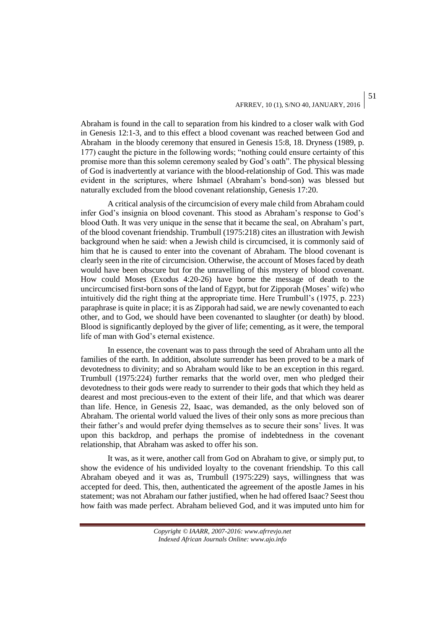Abraham is found in the call to separation from his kindred to a closer walk with God in Genesis 12:1-3, and to this effect a blood covenant was reached between God and Abraham in the bloody ceremony that ensured in Genesis 15:8, 18. Dryness (1989, p. 177) caught the picture in the following words; "nothing could ensure certainty of this promise more than this solemn ceremony sealed by God's oath". The physical blessing of God is inadvertently at variance with the blood-relationship of God. This was made evident in the scriptures, where Ishmael (Abraham's bond-son) was blessed but naturally excluded from the blood covenant relationship, Genesis 17:20.

A critical analysis of the circumcision of every male child from Abraham could infer God's insignia on blood covenant. This stood as Abraham's response to God's blood Oath. It was very unique in the sense that it became the seal, on Abraham's part, of the blood covenant friendship. Trumbull (1975:218) cites an illustration with Jewish background when he said: when a Jewish child is circumcised, it is commonly said of him that he is caused to enter into the covenant of Abraham. The blood covenant is clearly seen in the rite of circumcision. Otherwise, the account of Moses faced by death would have been obscure but for the unravelling of this mystery of blood covenant. How could Moses (Exodus 4:20-26) have borne the message of death to the uncircumcised first-born sons of the land of Egypt, but for Zipporah (Moses' wife) who intuitively did the right thing at the appropriate time. Here Trumbull's (1975, p. 223) paraphrase is quite in place; it is as Zipporah had said, we are newly covenanted to each other, and to God, we should have been covenanted to slaughter (or death) by blood. Blood is significantly deployed by the giver of life; cementing, as it were, the temporal life of man with God's eternal existence.

In essence, the covenant was to pass through the seed of Abraham unto all the families of the earth. In addition, absolute surrender has been proved to be a mark of devotedness to divinity; and so Abraham would like to be an exception in this regard. Trumbull (1975:224) further remarks that the world over, men who pledged their devotedness to their gods were ready to surrender to their gods that which they held as dearest and most precious-even to the extent of their life, and that which was dearer than life. Hence, in Genesis 22, Isaac, was demanded, as the only beloved son of Abraham. The oriental world valued the lives of their only sons as more precious than their father's and would prefer dying themselves as to secure their sons' lives. It was upon this backdrop, and perhaps the promise of indebtedness in the covenant relationship, that Abraham was asked to offer his son.

It was, as it were, another call from God on Abraham to give, or simply put, to show the evidence of his undivided loyalty to the covenant friendship. To this call Abraham obeyed and it was as, Trumbull (1975:229) says, willingness that was accepted for deed. This, then, authenticated the agreement of the apostle James in his statement; was not Abraham our father justified, when he had offered Isaac? Seest thou how faith was made perfect. Abraham believed God, and it was imputed unto him for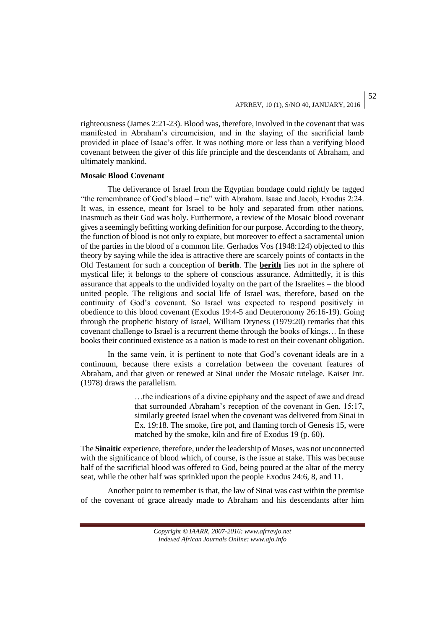righteousness (James 2:21-23). Blood was, therefore, involved in the covenant that was manifested in Abraham's circumcision, and in the slaying of the sacrificial lamb provided in place of Isaac's offer. It was nothing more or less than a verifying blood covenant between the giver of this life principle and the descendants of Abraham, and ultimately mankind.

### **Mosaic Blood Covenant**

The deliverance of Israel from the Egyptian bondage could rightly be tagged "the remembrance of God's blood – tie" with Abraham. Isaac and Jacob, Exodus 2:24. It was, in essence, meant for Israel to be holy and separated from other nations, inasmuch as their God was holy. Furthermore, a review of the Mosaic blood covenant gives a seemingly befitting working definition for our purpose. According to the theory, the function of blood is not only to expiate, but moreover to effect a sacramental union of the parties in the blood of a common life. Gerhados Vos (1948:124) objected to this theory by saying while the idea is attractive there are scarcely points of contacts in the Old Testament for such a conception of **berith**. The **berith** lies not in the sphere of mystical life; it belongs to the sphere of conscious assurance. Admittedly, it is this assurance that appeals to the undivided loyalty on the part of the Israelites – the blood united people. The religious and social life of Israel was, therefore, based on the continuity of God's covenant. So Israel was expected to respond positively in obedience to this blood covenant (Exodus 19:4-5 and Deuteronomy 26:16-19). Going through the prophetic history of Israel, William Dryness (1979:20) remarks that this covenant challenge to Israel is a recurrent theme through the books of kings… In these books their continued existence as a nation is made to rest on their covenant obligation.

In the same vein, it is pertinent to note that God's covenant ideals are in a continuum, because there exists a correlation between the covenant features of Abraham, and that given or renewed at Sinai under the Mosaic tutelage. Kaiser Jnr. (1978) draws the parallelism.

> …the indications of a divine epiphany and the aspect of awe and dread that surrounded Abraham's reception of the covenant in Gen. 15:17, similarly greeted Israel when the covenant was delivered from Sinai in Ex. 19:18. The smoke, fire pot, and flaming torch of Genesis 15, were matched by the smoke, kiln and fire of Exodus 19 (p. 60).

The **Sinaitic** experience, therefore, under the leadership of Moses, was not unconnected with the significance of blood which, of course, is the issue at stake. This was because half of the sacrificial blood was offered to God, being poured at the altar of the mercy seat, while the other half was sprinkled upon the people Exodus 24:6, 8, and 11.

Another point to remember is that, the law of Sinai was cast within the premise of the covenant of grace already made to Abraham and his descendants after him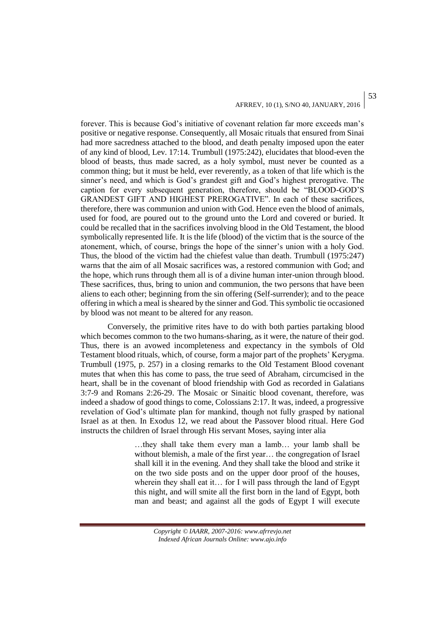forever. This is because God's initiative of covenant relation far more exceeds man's positive or negative response. Consequently, all Mosaic rituals that ensured from Sinai had more sacredness attached to the blood, and death penalty imposed upon the eater of any kind of blood, Lev. 17:14. Trumbull (1975:242), elucidates that blood-even the blood of beasts, thus made sacred, as a holy symbol, must never be counted as a common thing; but it must be held, ever reverently, as a token of that life which is the sinner's need, and which is God's grandest gift and God's highest prerogative. The caption for every subsequent generation, therefore, should be "BLOOD-GOD'S GRANDEST GIFT AND HIGHEST PREROGATIVE". In each of these sacrifices, therefore, there was communion and union with God. Hence even the blood of animals, used for food, are poured out to the ground unto the Lord and covered or buried. It could be recalled that in the sacrifices involving blood in the Old Testament, the blood symbolically represented life. It is the life (blood) of the victim that is the source of the atonement, which, of course, brings the hope of the sinner's union with a holy God. Thus, the blood of the victim had the chiefest value than death. Trumbull (1975:247) warns that the aim of all Mosaic sacrifices was, a restored communion with God; and the hope, which runs through them all is of a divine human inter-union through blood. These sacrifices, thus, bring to union and communion, the two persons that have been aliens to each other; beginning from the sin offering (Self-surrender); and to the peace offering in which a meal is sheared by the sinner and God. This symbolic tie occasioned by blood was not meant to be altered for any reason.

Conversely, the primitive rites have to do with both parties partaking blood which becomes common to the two humans-sharing, as it were, the nature of their god. Thus, there is an avowed incompleteness and expectancy in the symbols of Old Testament blood rituals, which, of course, form a major part of the prophets' Kerygma. Trumbull (1975, p. 257) in a closing remarks to the Old Testament Blood covenant mutes that when this has come to pass, the true seed of Abraham, circumcised in the heart, shall be in the covenant of blood friendship with God as recorded in Galatians 3:7-9 and Romans 2:26-29. The Mosaic or Sinaitic blood covenant, therefore, was indeed a shadow of good things to come, Colossians 2:17. It was, indeed, a progressive revelation of God's ultimate plan for mankind, though not fully grasped by national Israel as at then. In Exodus 12, we read about the Passover blood ritual. Here God instructs the children of Israel through His servant Moses, saying inter alia

> …they shall take them every man a lamb… your lamb shall be without blemish, a male of the first year… the congregation of Israel shall kill it in the evening. And they shall take the blood and strike it on the two side posts and on the upper door proof of the houses, wherein they shall eat it... for I will pass through the land of Egypt this night, and will smite all the first born in the land of Egypt, both man and beast; and against all the gods of Egypt I will execute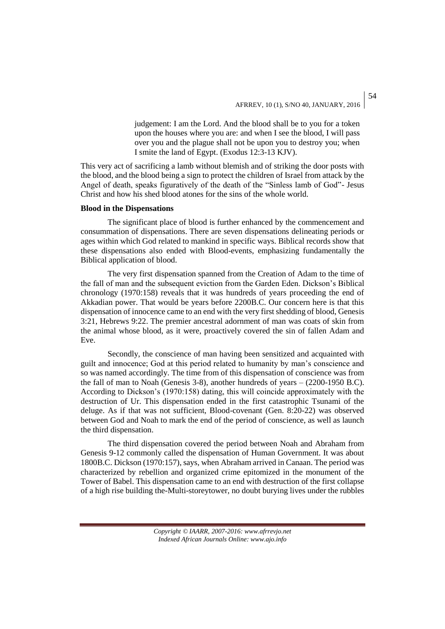judgement: I am the Lord. And the blood shall be to you for a token upon the houses where you are: and when I see the blood, I will pass over you and the plague shall not be upon you to destroy you; when I smite the land of Egypt. (Exodus 12:3-13 KJV).

This very act of sacrificing a lamb without blemish and of striking the door posts with the blood, and the blood being a sign to protect the children of Israel from attack by the Angel of death, speaks figuratively of the death of the "Sinless lamb of God"- Jesus Christ and how his shed blood atones for the sins of the whole world.

### **Blood in the Dispensations**

The significant place of blood is further enhanced by the commencement and consummation of dispensations. There are seven dispensations delineating periods or ages within which God related to mankind in specific ways. Biblical records show that these dispensations also ended with Blood-events, emphasizing fundamentally the Biblical application of blood.

The very first dispensation spanned from the Creation of Adam to the time of the fall of man and the subsequent eviction from the Garden Eden. Dickson's Biblical chronology (1970:158) reveals that it was hundreds of years proceeding the end of Akkadian power. That would be years before 2200B.C. Our concern here is that this dispensation of innocence came to an end with the very first shedding of blood, Genesis 3:21, Hebrews 9:22. The premier ancestral adornment of man was coats of skin from the animal whose blood, as it were, proactively covered the sin of fallen Adam and Eve.

Secondly, the conscience of man having been sensitized and acquainted with guilt and innocence; God at this period related to humanity by man's conscience and so was named accordingly. The time from of this dispensation of conscience was from the fall of man to Noah (Genesis 3-8), another hundreds of years – (2200-1950 B.C). According to Dickson's (1970:158) dating, this will coincide approximately with the destruction of Ur. This dispensation ended in the first catastrophic Tsunami of the deluge. As if that was not sufficient, Blood-covenant (Gen. 8:20-22) was observed between God and Noah to mark the end of the period of conscience, as well as launch the third dispensation.

The third dispensation covered the period between Noah and Abraham from Genesis 9-12 commonly called the dispensation of Human Government. It was about 1800B.C. Dickson (1970:157), says, when Abraham arrived in Canaan. The period was characterized by rebellion and organized crime epitomized in the monument of the Tower of Babel. This dispensation came to an end with destruction of the first collapse of a high rise building the-Multi-storeytower, no doubt burying lives under the rubbles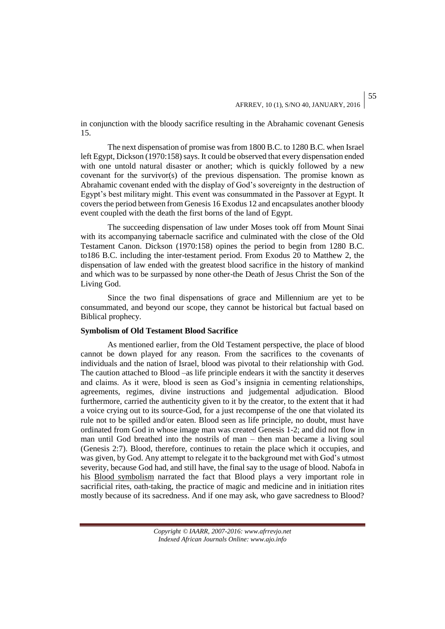in conjunction with the bloody sacrifice resulting in the Abrahamic covenant Genesis 15.

The next dispensation of promise was from 1800 B.C. to 1280 B.C. when Israel left Egypt, Dickson (1970:158) says. It could be observed that every dispensation ended with one untold natural disaster or another; which is quickly followed by a new covenant for the survivor(s) of the previous dispensation. The promise known as Abrahamic covenant ended with the display of God's sovereignty in the destruction of Egypt's best military might. This event was consummated in the Passover at Egypt. It covers the period between from Genesis 16 Exodus 12 and encapsulates another bloody event coupled with the death the first borns of the land of Egypt.

The succeeding dispensation of law under Moses took off from Mount Sinai with its accompanying tabernacle sacrifice and culminated with the close of the Old Testament Canon. Dickson (1970:158) opines the period to begin from 1280 B.C. to186 B.C. including the inter-testament period. From Exodus 20 to Matthew 2, the dispensation of law ended with the greatest blood sacrifice in the history of mankind and which was to be surpassed by none other-the Death of Jesus Christ the Son of the Living God.

Since the two final dispensations of grace and Millennium are yet to be consummated, and beyond our scope, they cannot be historical but factual based on Biblical prophecy.

### **Symbolism of Old Testament Blood Sacrifice**

As mentioned earlier, from the Old Testament perspective, the place of blood cannot be down played for any reason. From the sacrifices to the covenants of individuals and the nation of Israel, blood was pivotal to their relationship with God. The caution attached to Blood –as life principle endears it with the sanctity it deserves and claims. As it were, blood is seen as God's insignia in cementing relationships, agreements, regimes, divine instructions and judgemental adjudication. Blood furthermore, carried the authenticity given to it by the creator, to the extent that it had a voice crying out to its source-God, for a just recompense of the one that violated its rule not to be spilled and/or eaten. Blood seen as life principle, no doubt, must have ordinated from God in whose image man was created Genesis 1-2; and did not flow in man until God breathed into the nostrils of man – then man became a living soul (Genesis 2:7). Blood, therefore, continues to retain the place which it occupies, and was given, by God. Any attempt to relegate it to the background met with God's utmost severity, because God had, and still have, the final say to the usage of blood. Nabofa in his Blood symbolism narrated the fact that Blood plays a very important role in sacrificial rites, oath-taking, the practice of magic and medicine and in initiation rites mostly because of its sacredness. And if one may ask, who gave sacredness to Blood?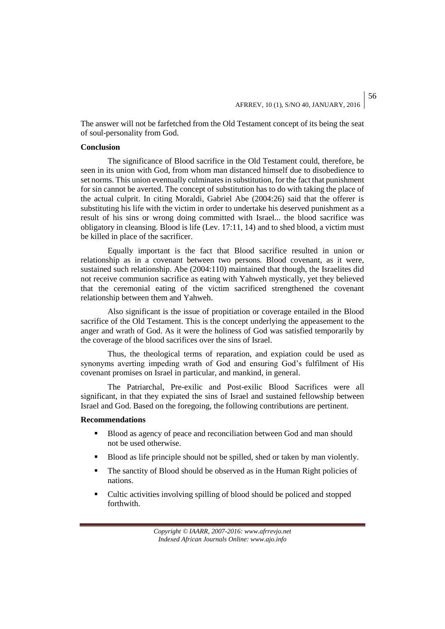The answer will not be farfetched from the Old Testament concept of its being the seat of soul-personality from God.

### **Conclusion**

The significance of Blood sacrifice in the Old Testament could, therefore, be seen in its union with God, from whom man distanced himself due to disobedience to set norms. This union eventually culminates in substitution, for the fact that punishment for sin cannot be averted. The concept of substitution has to do with taking the place of the actual culprit. In citing Moraldi, Gabriel Abe (2004:26) said that the offerer is substituting his life with the victim in order to undertake his deserved punishment as a result of his sins or wrong doing committed with Israel... the blood sacrifice was obligatory in cleansing. Blood is life (Lev. 17:11, 14) and to shed blood, a victim must be killed in place of the sacrificer.

Equally important is the fact that Blood sacrifice resulted in union or relationship as in a covenant between two persons. Blood covenant, as it were, sustained such relationship. Abe (2004:110) maintained that though, the Israelites did not receive communion sacrifice as eating with Yahweh mystically, yet they believed that the ceremonial eating of the victim sacrificed strengthened the covenant relationship between them and Yahweh.

Also significant is the issue of propitiation or coverage entailed in the Blood sacrifice of the Old Testament. This is the concept underlying the appeasement to the anger and wrath of God. As it were the holiness of God was satisfied temporarily by the coverage of the blood sacrifices over the sins of Israel.

Thus, the theological terms of reparation, and expiation could be used as synonyms averting impeding wrath of God and ensuring God's fulfilment of His covenant promises on Israel in particular, and mankind, in general.

The Patriarchal, Pre-exilic and Post-exilic Blood Sacrifices were all significant, in that they expiated the sins of Israel and sustained fellowship between Israel and God. Based on the foregoing, the following contributions are pertinent.

#### **Recommendations**

- Blood as agency of peace and reconciliation between God and man should not be used otherwise.
- Blood as life principle should not be spilled, shed or taken by man violently.
- The sanctity of Blood should be observed as in the Human Right policies of nations.
- Cultic activities involving spilling of blood should be policed and stopped forthwith.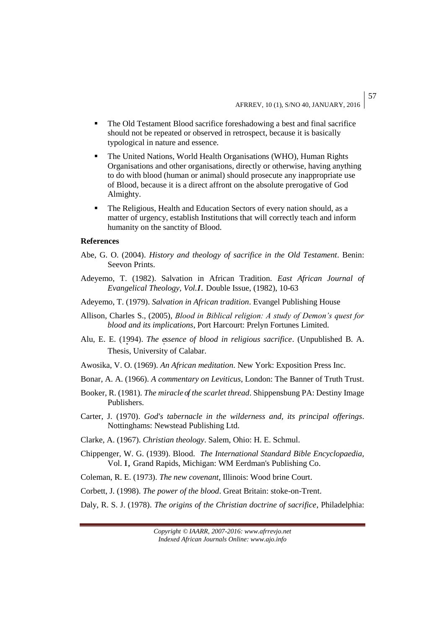- The Old Testament Blood sacrifice foreshadowing a best and final sacrifice should not be repeated or observed in retrospect, because it is basically typological in nature and essence.
- The United Nations, World Health Organisations (WHO), Human Rights Organisations and other organisations, directly or otherwise, having anything to do with blood (human or animal) should prosecute any inappropriate use of Blood, because it is a direct affront on the absolute prerogative of God Almighty.
- The Religious, Health and Education Sectors of every nation should, as a matter of urgency, establish Institutions that will correctly teach and inform humanity on the sanctity of Blood.

### **References**

- Abe, G. O. (2004). *History and theology of sacrifice in the Old Testament*. Benin: Seevon Prints.
- Adeyemo, T. (1982). Salvation in African Tradition. *East African Journal of Evangelical Theology, Vol.I*. Double Issue, (1982), 10-63
- Adeyemo, T. (1979). *Salvation in African tradition*. Evangel Publishing House
- Allison, Charles S., (2005), *Blood in Biblical religion: A study of Demon's quest for blood and its implications*, Port Harcourt: Prelyn Fortunes Limited.
- Alu, E. E. (1994). *The essence of blood in religious sacrifice*. (Unpublished B. A. Thesis, University of Calabar.
- Awosika, V. O. (1969). *An African meditation*. New York: Exposition Press Inc.
- Bonar, A. A. (1966). *A commentary on Leviticus*, London: The Banner of Truth Trust.
- Booker, R. (1981). *The miracle of the scarlet thread*. Shippensbung PA: Destiny Image Publishers.
- Carter, J. (1970). *God's tabernacle in the wilderness and, its principal offerings*. Nottinghams: Newstead Publishing Ltd.
- Clarke, A. (1967). *Christian theology*. Salem, Ohio: H. E. Schmul.
- Chippenger, W. G. (1939). Blood. *The International Standard Bible Encyclopaedia,* Vol. I, Grand Rapids, Michigan: WM Eerdman's Publishing Co.
- Coleman, R. E. (1973). *The new covenant*, Illinois: Wood brine Court.
- Corbett, J. (1998). *The power of the blood*. Great Britain: stoke-on-Trent.
- Daly, R. S. J. (1978). *The origins of the Christian doctrine of sacrifice*, Philadelphia: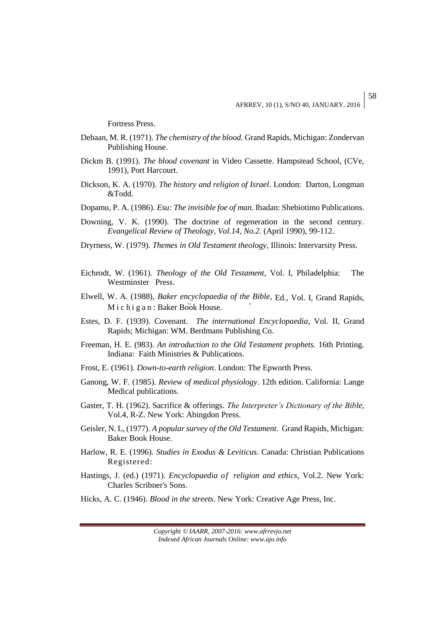Fortress Press.

- Dehaan, M. R. (1971). *The chemistry of the blood.* Grand Rapids, Michigan: Zondervan Publishing House.
- Dickm B. (1991). *The blood covenant* in Video Cassette. Hampstead School, (CVe, 1991), Port Harcourt.
- Dickson, K. A. (1970). *The history and religion of Israel*. London: Darton, Longman &Todd.
- Dopamu, P. A. (1986). *Esu: The invisible foe of man*. Ibadan: Shebiotimo Publications.
- Downing, V. K. (1990). The doctrine of regeneration in the second century*. Evangelical Review of Theology, Vol.14, No.2.* (April 1990), 99-112.
- Dryrness, W. (1979). *Themes in Old Testament theology*, Illinois: Intervarsity Press.
- Eichrodt, W. (1961). *Theology of the Old Testament*, Vol. I, Philadelphia: The Westminster Press.
- Elwell, W. A. (1988), *Baker encyclopaedia of the Bible*, Ed., Vol. I, Grand Rapids, M i c h i g a n : Baker Book House.
- Estes, D. F. (1939). Covenant. *The international Encyclopaedia*, Vol. II, Grand Rapids; Michigan: WM. Berdmans Publishing Co.
- Freeman, H. E. (983). *An introduction to the Old Testament prophets.* 16th Printing. Indiana: Faith Ministries & Publications.
- Frost, E. (1961). *Down-to-earth religion*. London: The Epworth Press.
- Ganong, W. F. (1985). *Review of medical physiology*. 12th edition. California: Lange Medical publications.
- Gaster, T. H. (1962). Sacrifice & offerings. *The Interpreter's Dictionary of the Bible*, Vol.4, R-Z. New York: Abingdon Press.
- Geisler, N. L, (1977). *A popular survey of the Old Testament.* Grand Rapids, Michigan: Baker Book House.
- Harlow, R. E. (1996). *Studies in Exodus & Leviticus.* Canada: Christian Publications Registered:
- Hastings, J. (ed.) (1971). *Encyclopaedia of religion and ethics*, Vol.2. New York: Charles Scribner's Sons.
- Hicks, A. C. (1946). *Blood in the streets*. New York: Creative Age Press, Inc.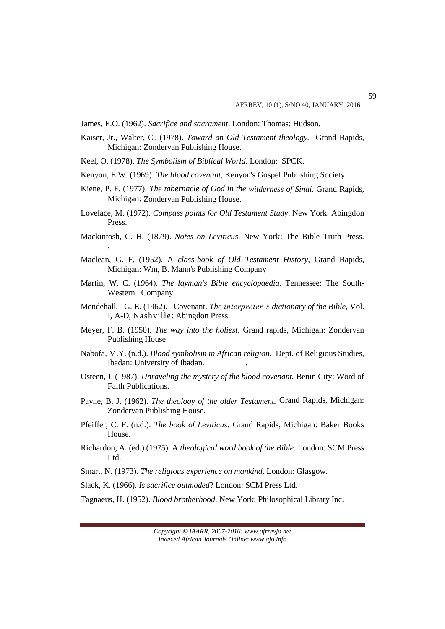- James, E.O. (1962). *Sacrifice and sacrament*. London: Thomas: Hudson.
- Kaiser, Jr., Walter, C., (1978). *Toward an Old Testament theology.* Grand Rapids, Michigan: Zondervan Publishing House.
- Keel, O. (1978). *The Symbolism of Biblical World*. London: SPCK.

.

- Kenyon, E.W. (1969). *The blood covenant,* Kenyon's Gospel Publishing Society.
- Kiene, P. F. (1977). *The tabernacle of God in the wilderness of Sinai.* Grand Rapids, Michigan: Zondervan Publishing House.
- Lovelace, M. (1972). *Compass points for Old Testament Study*. New York: Abingdon Press.
- Mackintosh, C. H. (1879). *Notes on Leviticus*. New York: The Bible Truth Press.
- Maclean, G. F. (1952). A *class-book of Old Testament History*, Grand Rapids, Michigan: Wm, B. Mann's Publishing Company
- Martin, W. C. (1964). *The layman's Bible encyclopaedia*. Tennessee: The South-Western Company.
- Mendehall, G. E. (1962). Covenant. *The interpreter's dictionary of the Bible,* Vol. I, A-D, Nashville: Abingdon Press.
- Meyer, F. B. (1950). *The way into the holiest*. Grand rapids, Michigan: Zondervan Publishing House.
- Nabofa, M.Y. (n.d.). *Blood symbolism in African religion.* Dept. of Religious Studies, Ibadan: University of Ibadan. .
- Osteen, J. (1987). *Unraveling the mystery of the blood covenant.* Benin City: Word of Faith Publications.
- Payne, B. J. (1962). *The theology of the older Testament.* Grand Rapids, Michigan: Zondervan Publishing House.
- Pfeiffer, C. F. (n.d.). *The book of Leviticus*. Grand Rapids, Michigan: Baker Books House.
- Richardon, A. (ed.) (1975). A *theological word book of the Bible.* London: SCM Press Ltd.
- Smart, N. (1973). *The religious experience on mankind*. London: Glasgow.
- Slack, K. (1966). *Is sacrifice outmoded*? London: SCM Press Ltd.

Tagnaeus, H. (1952). *Blood brotherhood*. New York: Philosophical Library Inc.